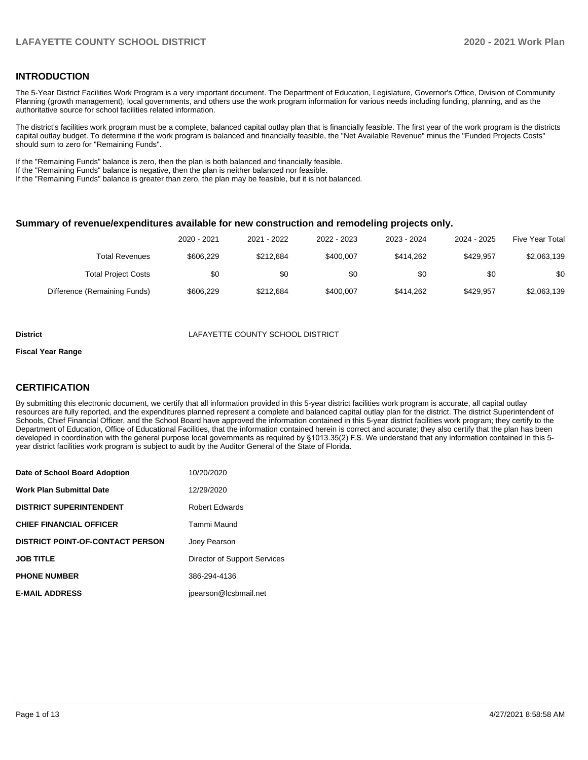#### **INTRODUCTION**

The 5-Year District Facilities Work Program is a very important document. The Department of Education, Legislature, Governor's Office, Division of Community Planning (growth management), local governments, and others use the work program information for various needs including funding, planning, and as the authoritative source for school facilities related information.

The district's facilities work program must be a complete, balanced capital outlay plan that is financially feasible. The first year of the work program is the districts capital outlay budget. To determine if the work program is balanced and financially feasible, the "Net Available Revenue" minus the "Funded Projects Costs" should sum to zero for "Remaining Funds".

If the "Remaining Funds" balance is zero, then the plan is both balanced and financially feasible.

If the "Remaining Funds" balance is negative, then the plan is neither balanced nor feasible.

If the "Remaining Funds" balance is greater than zero, the plan may be feasible, but it is not balanced.

#### **Summary of revenue/expenditures available for new construction and remodeling projects only.**

| <b>Five Year Total</b> | 2024 - 2025 | 2023 - 2024 | 2022 - 2023 | 2021 - 2022 | 2020 - 2021 |                              |
|------------------------|-------------|-------------|-------------|-------------|-------------|------------------------------|
| \$2,063,139            | \$429.957   | \$414.262   | \$400.007   | \$212.684   | \$606.229   | <b>Total Revenues</b>        |
| \$0                    | \$0         | \$0         | \$0         | \$0         | \$0         | <b>Total Project Costs</b>   |
| \$2,063,139            | \$429.957   | \$414.262   | \$400.007   | \$212.684   | \$606.229   | Difference (Remaining Funds) |

#### **District** LAFAYETTE COUNTY SCHOOL DISTRICT

#### **Fiscal Year Range**

#### **CERTIFICATION**

By submitting this electronic document, we certify that all information provided in this 5-year district facilities work program is accurate, all capital outlay resources are fully reported, and the expenditures planned represent a complete and balanced capital outlay plan for the district. The district Superintendent of Schools, Chief Financial Officer, and the School Board have approved the information contained in this 5-year district facilities work program; they certify to the Department of Education, Office of Educational Facilities, that the information contained herein is correct and accurate; they also certify that the plan has been developed in coordination with the general purpose local governments as required by §1013.35(2) F.S. We understand that any information contained in this 5 year district facilities work program is subject to audit by the Auditor General of the State of Florida.

| Date of School Board Adoption           | 10/20/2020                   |
|-----------------------------------------|------------------------------|
| <b>Work Plan Submittal Date</b>         | 12/29/2020                   |
| <b>DISTRICT SUPERINTENDENT</b>          | <b>Robert Edwards</b>        |
| <b>CHIEF FINANCIAL OFFICER</b>          | Tammi Maund                  |
| <b>DISTRICT POINT-OF-CONTACT PERSON</b> | Joey Pearson                 |
| <b>JOB TITLE</b>                        | Director of Support Services |
| <b>PHONE NUMBER</b>                     | 386-294-4136                 |
| <b>E-MAIL ADDRESS</b>                   | ipearson@lcsbmail.net        |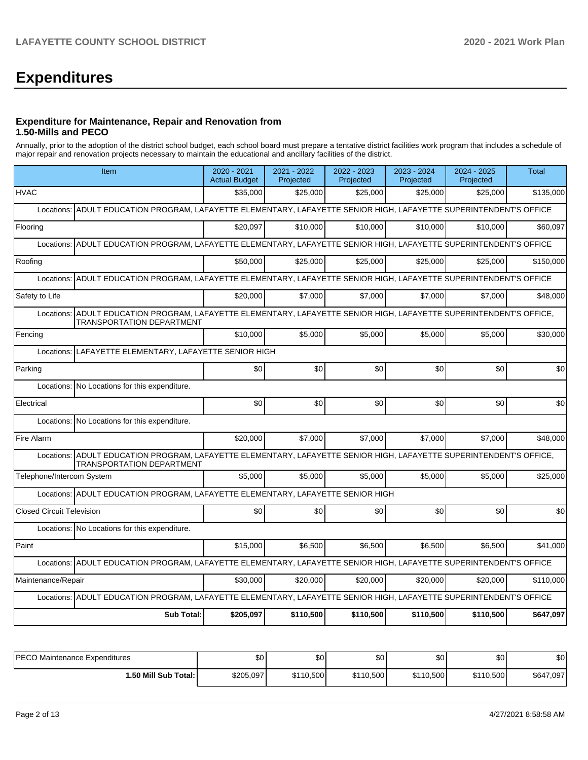# **Expenditures**

#### **Expenditure for Maintenance, Repair and Renovation from 1.50-Mills and PECO**

Annually, prior to the adoption of the district school budget, each school board must prepare a tentative district facilities work program that includes a schedule of major repair and renovation projects necessary to maintain the educational and ancillary facilities of the district.

| Item                                                                                                                                                       | 2020 - 2021<br><b>Actual Budget</b>                    | 2021 - 2022<br>Projected | 2022 - 2023<br>Projected | 2023 - 2024<br>Projected | 2024 - 2025<br>Projected | <b>Total</b> |  |  |  |
|------------------------------------------------------------------------------------------------------------------------------------------------------------|--------------------------------------------------------|--------------------------|--------------------------|--------------------------|--------------------------|--------------|--|--|--|
| <b>HVAC</b>                                                                                                                                                | \$35,000                                               | \$25,000                 | \$25,000                 | \$25,000                 | \$25,000                 | \$135,000    |  |  |  |
| ADULT EDUCATION PROGRAM, LAFAYETTE ELEMENTARY, LAFAYETTE SENIOR HIGH, LAFAYETTE SUPERINTENDENT'S OFFICE<br>Locations:                                      |                                                        |                          |                          |                          |                          |              |  |  |  |
| Flooring                                                                                                                                                   | \$20.097                                               | \$10,000                 | \$10,000                 | \$10,000                 | \$10,000                 | \$60,097     |  |  |  |
| Locations: ADULT EDUCATION PROGRAM, LAFAYETTE ELEMENTARY, LAFAYETTE SENIOR HIGH, LAFAYETTE SUPERINTENDENT'S OFFICE                                         |                                                        |                          |                          |                          |                          |              |  |  |  |
| Roofing                                                                                                                                                    | \$50,000                                               | \$25,000                 | \$25,000                 | \$25,000                 | \$25,000                 | \$150,000    |  |  |  |
| ADULT EDUCATION PROGRAM, LAFAYETTE ELEMENTARY, LAFAYETTE SENIOR HIGH, LAFAYETTE SUPERINTENDENT'S OFFICE<br>Locations:                                      |                                                        |                          |                          |                          |                          |              |  |  |  |
| Safety to Life                                                                                                                                             | \$20,000                                               | \$7,000                  | \$7,000                  | \$7,000                  | \$7,000                  | \$48,000     |  |  |  |
| ADULT EDUCATION PROGRAM, LAFAYETTE ELEMENTARY, LAFAYETTE SENIOR HIGH, LAFAYETTE SUPERINTENDENT'S OFFICE,<br>Locations:<br><b>TRANSPORTATION DEPARTMENT</b> |                                                        |                          |                          |                          |                          |              |  |  |  |
| Fencing                                                                                                                                                    | \$10,000                                               | \$5,000                  | \$5,000                  | \$5,000                  | \$5,000                  | \$30,000     |  |  |  |
|                                                                                                                                                            | Locations: LAFAYETTE ELEMENTARY, LAFAYETTE SENIOR HIGH |                          |                          |                          |                          |              |  |  |  |
| Parking                                                                                                                                                    | \$0                                                    | \$0                      | \$0                      | \$0                      | \$0                      | \$0          |  |  |  |
| Locations:<br>No Locations for this expenditure.                                                                                                           |                                                        |                          |                          |                          |                          |              |  |  |  |
| Electrical                                                                                                                                                 | \$0                                                    | \$0                      | \$0                      | \$0                      | \$0                      | \$0          |  |  |  |
| Locations: No Locations for this expenditure.                                                                                                              |                                                        |                          |                          |                          |                          |              |  |  |  |
| Fire Alarm                                                                                                                                                 | \$20,000                                               | \$7,000                  | \$7,000                  | \$7,000                  | \$7,000                  | \$48,000     |  |  |  |
| Locations: ADULT EDUCATION PROGRAM, LAFAYETTE ELEMENTARY, LAFAYETTE SENIOR HIGH, LAFAYETTE SUPERINTENDENT'S OFFICE,<br><b>TRANSPORTATION DEPARTMENT</b>    |                                                        |                          |                          |                          |                          |              |  |  |  |
| Telephone/Intercom System                                                                                                                                  | \$5,000                                                | \$5,000                  | \$5,000                  | \$5,000                  | \$5,000                  | \$25,000     |  |  |  |
| Locations: ADULT EDUCATION PROGRAM, LAFAYETTE ELEMENTARY, LAFAYETTE SENIOR HIGH                                                                            |                                                        |                          |                          |                          |                          |              |  |  |  |
| <b>Closed Circuit Television</b>                                                                                                                           | \$0                                                    | \$0                      | \$0                      | \$0                      | \$0                      | \$0          |  |  |  |
| Locations: No Locations for this expenditure.                                                                                                              |                                                        |                          |                          |                          |                          |              |  |  |  |
| Paint                                                                                                                                                      | \$15,000                                               | \$6.500                  | \$6.500                  | \$6.500                  | \$6.500                  | \$41,000     |  |  |  |
| Locations: ADULT EDUCATION PROGRAM, LAFAYETTE ELEMENTARY, LAFAYETTE SENIOR HIGH, LAFAYETTE SUPERINTENDENT'S OFFICE                                         |                                                        |                          |                          |                          |                          |              |  |  |  |
| Maintenance/Repair                                                                                                                                         | \$30,000                                               | \$20,000                 | \$20,000                 | \$20,000                 | \$20,000                 | \$110,000    |  |  |  |
| Locations: ADULT EDUCATION PROGRAM, LAFAYETTE ELEMENTARY, LAFAYETTE SENIOR HIGH, LAFAYETTE SUPERINTENDENT'S OFFICE                                         |                                                        |                          |                          |                          |                          |              |  |  |  |
| <b>Sub Total:</b>                                                                                                                                          | \$205,097                                              | \$110,500                | \$110.500                | \$110,500                | \$110,500                | \$647,097    |  |  |  |

| <b>IPECO Maintenance Expenditures</b> | \$0       | \$0       | \$0       | \$0       | \$0       | \$0            |
|---------------------------------------|-----------|-----------|-----------|-----------|-----------|----------------|
| 1.50 Mill Sub Total: I                | \$205,097 | \$110,500 | \$110,500 | \$110,500 | \$110,500 | \$647<br>7,097 |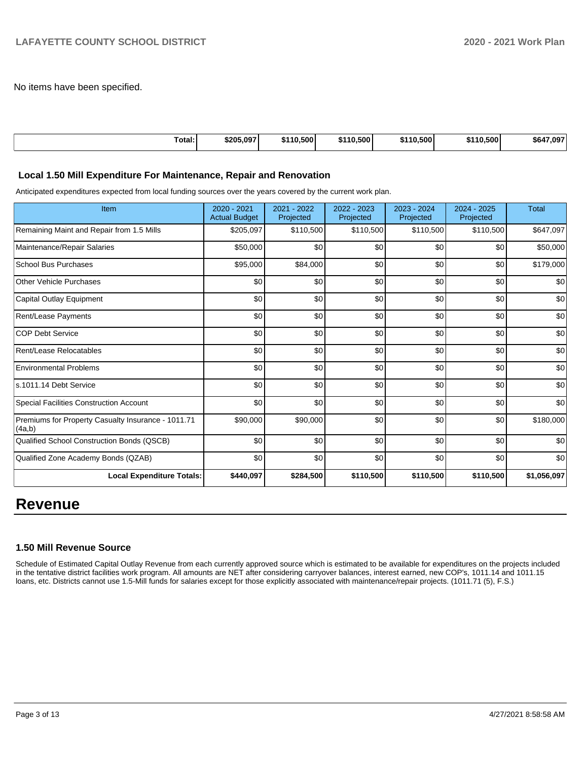No items have been specified.

| Total: | \$205.097 | \$110.500 | \$110,500 | 0.500<br><b>C440</b> | 10.500<br>$\cdots$ | .097<br>564 |
|--------|-----------|-----------|-----------|----------------------|--------------------|-------------|

#### **Local 1.50 Mill Expenditure For Maintenance, Repair and Renovation**

Anticipated expenditures expected from local funding sources over the years covered by the current work plan.

| Item                                                         | $2020 - 2021$<br><b>Actual Budget</b> | 2021 - 2022<br>Projected | 2022 - 2023<br>Projected | $2023 - 2024$<br>Projected | $2024 - 2025$<br>Projected | <b>Total</b> |
|--------------------------------------------------------------|---------------------------------------|--------------------------|--------------------------|----------------------------|----------------------------|--------------|
| Remaining Maint and Repair from 1.5 Mills                    | \$205,097                             | \$110,500                | \$110,500                | \$110,500                  | \$110,500                  | \$647,097    |
| Maintenance/Repair Salaries                                  | \$50,000                              | \$0                      | \$0                      | \$0                        | \$0                        | \$50,000     |
| <b>School Bus Purchases</b>                                  | \$95,000                              | \$84,000                 | \$0                      | \$0                        | \$0                        | \$179,000    |
| <b>Other Vehicle Purchases</b>                               | \$0                                   | \$0                      | \$0                      | \$0                        | \$0                        | \$0          |
| Capital Outlay Equipment                                     | \$0                                   | \$0                      | \$0                      | \$0                        | \$0                        | \$0          |
| <b>Rent/Lease Payments</b>                                   | \$0                                   | \$0                      | \$0                      | \$0                        | \$0                        | \$0          |
| <b>COP Debt Service</b>                                      | \$0                                   | \$0                      | \$0                      | \$0                        | \$0                        | \$0          |
| Rent/Lease Relocatables                                      | \$0                                   | \$0                      | \$0                      | \$0                        | \$0                        | \$0          |
| <b>Environmental Problems</b>                                | \$0                                   | \$0                      | \$0                      | \$0                        | \$0                        | \$0          |
| s.1011.14 Debt Service                                       | \$0                                   | \$0                      | \$0                      | \$0                        | \$0                        | \$0          |
| <b>Special Facilities Construction Account</b>               | \$0                                   | \$0                      | \$0                      | \$0                        | \$0                        | \$0          |
| Premiums for Property Casualty Insurance - 1011.71<br>(4a,b) | \$90,000                              | \$90,000                 | \$0                      | \$0                        | \$0                        | \$180,000    |
| Qualified School Construction Bonds (QSCB)                   | \$0                                   | \$0                      | \$0                      | \$0                        | \$0                        | \$0          |
| Qualified Zone Academy Bonds (QZAB)                          | \$0                                   | \$0                      | \$0                      | \$0                        | \$0                        | \$0          |
| <b>Local Expenditure Totals:</b>                             | \$440,097                             | \$284,500                | \$110,500                | \$110,500                  | \$110,500                  | \$1,056,097  |

## **Revenue**

#### **1.50 Mill Revenue Source**

Schedule of Estimated Capital Outlay Revenue from each currently approved source which is estimated to be available for expenditures on the projects included in the tentative district facilities work program. All amounts are NET after considering carryover balances, interest earned, new COP's, 1011.14 and 1011.15 loans, etc. Districts cannot use 1.5-Mill funds for salaries except for those explicitly associated with maintenance/repair projects. (1011.71 (5), F.S.)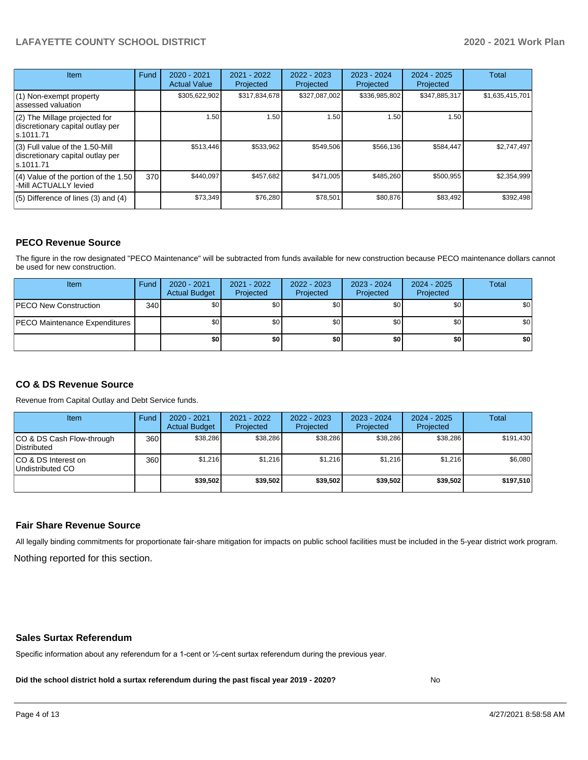| Item                                                                                | Fund | $2020 - 2021$<br><b>Actual Value</b> | $2021 - 2022$<br>Projected | $2022 - 2023$<br>Projected | 2023 - 2024<br>Projected | $2024 - 2025$<br>Projected | Total           |
|-------------------------------------------------------------------------------------|------|--------------------------------------|----------------------------|----------------------------|--------------------------|----------------------------|-----------------|
| (1) Non-exempt property<br>lassessed valuation                                      |      | \$305,622,902                        | \$317,834,678              | \$327,087,002              | \$336,985,802            | \$347,885,317              | \$1,635,415,701 |
| $(2)$ The Millage projected for<br>discretionary capital outlay per<br>ls.1011.71   |      | 1.50                                 | 1.50                       | 1.50                       | 1.50                     | 1.50                       |                 |
| $(3)$ Full value of the 1.50-Mill<br>discretionary capital outlay per<br>ls.1011.71 |      | \$513,446                            | \$533,962                  | \$549.506                  | \$566,136                | \$584,447                  | \$2,747,497     |
| $(4)$ Value of the portion of the 1.50<br>-Mill ACTUALLY levied                     | 370I | \$440.097                            | \$457,682                  | \$471.005                  | \$485,260                | \$500,955                  | \$2,354,999     |
| $(5)$ Difference of lines (3) and (4)                                               |      | \$73,349                             | \$76,280                   | \$78,501                   | \$80,876                 | \$83,492                   | \$392,498       |

#### **PECO Revenue Source**

The figure in the row designated "PECO Maintenance" will be subtracted from funds available for new construction because PECO maintenance dollars cannot be used for new construction.

| Item                                 | Fund | 2020 - 2021<br><b>Actual Budget</b> | 2021 - 2022<br>Projected | 2022 - 2023<br>Projected | 2023 - 2024<br>Projected | $2024 - 2025$<br>Projected | Total            |
|--------------------------------------|------|-------------------------------------|--------------------------|--------------------------|--------------------------|----------------------------|------------------|
| <b>IPECO New Construction</b>        | 340  | \$0 <sub>1</sub>                    | \$0 <sub>1</sub>         | \$0                      | \$0                      | \$0                        | \$0 <sub>1</sub> |
| <b>PECO Maintenance Expenditures</b> |      | \$0 <sub>1</sub>                    | \$0                      | \$0                      | \$0                      | \$0                        | \$0 <sub>1</sub> |
|                                      |      | \$0                                 | \$0                      | \$0                      | \$0                      | \$0                        | \$0              |

### **CO & DS Revenue Source**

Revenue from Capital Outlay and Debt Service funds.

| <b>Item</b>                               | Fund | $2020 - 2021$<br><b>Actual Budget</b> | 2021 - 2022<br>Projected | 2022 - 2023<br>Projected | $2023 - 2024$<br>Projected | $2024 - 2025$<br>Projected | Total     |
|-------------------------------------------|------|---------------------------------------|--------------------------|--------------------------|----------------------------|----------------------------|-----------|
| ICO & DS Cash Flow-through<br>Distributed | 360  | \$38.286                              | \$38.286                 | \$38,286                 | \$38,286                   | \$38,286                   | \$191,430 |
| ICO & DS Interest on<br>Undistributed CO  | 360  | \$1.216                               | \$1.216                  | \$1.216                  | \$1.216                    | \$1,216                    | \$6,080   |
|                                           |      | \$39,502                              | \$39.502                 | \$39.502                 | \$39,502                   | \$39,502                   | \$197,510 |

#### **Fair Share Revenue Source**

Nothing reported for this section. All legally binding commitments for proportionate fair-share mitigation for impacts on public school facilities must be included in the 5-year district work program.

#### **Sales Surtax Referendum**

Specific information about any referendum for a 1-cent or ½-cent surtax referendum during the previous year.

**Did the school district hold a surtax referendum during the past fiscal year 2019 - 2020?**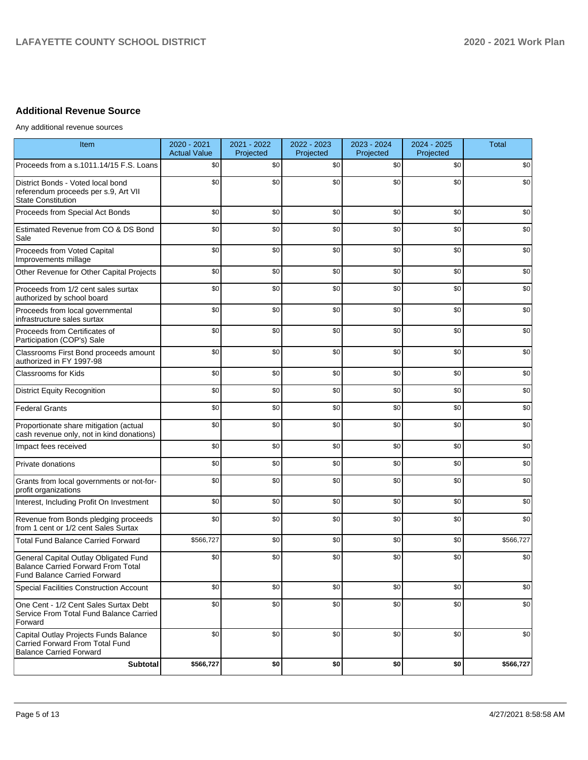## **Additional Revenue Source**

Any additional revenue sources

| <b>Item</b>                                                                                                               | 2020 - 2021<br><b>Actual Value</b> | 2021 - 2022<br>Projected | 2022 - 2023<br>Projected | 2023 - 2024<br>Projected | 2024 - 2025<br>Projected | <b>Total</b> |
|---------------------------------------------------------------------------------------------------------------------------|------------------------------------|--------------------------|--------------------------|--------------------------|--------------------------|--------------|
| Proceeds from a s.1011.14/15 F.S. Loans                                                                                   | \$0                                | \$0                      | \$0                      | \$0                      | \$0                      | \$0          |
| District Bonds - Voted local bond<br>referendum proceeds per s.9, Art VII<br><b>State Constitution</b>                    | \$0                                | \$0                      | \$0                      | \$0                      | \$0                      | \$0          |
| Proceeds from Special Act Bonds                                                                                           | \$0                                | \$0                      | \$0                      | \$0                      | \$0                      | \$0          |
| Estimated Revenue from CO & DS Bond<br>Sale                                                                               | \$0                                | \$0                      | \$0                      | \$0                      | \$0                      | \$0          |
| Proceeds from Voted Capital<br>Improvements millage                                                                       | \$0                                | \$0                      | \$0                      | \$0                      | \$0                      | \$0          |
| Other Revenue for Other Capital Projects                                                                                  | \$0                                | \$0                      | \$0                      | \$0                      | \$0                      | \$0          |
| Proceeds from 1/2 cent sales surtax<br>authorized by school board                                                         | \$0                                | \$0                      | \$0                      | \$0                      | \$0                      | \$0          |
| Proceeds from local governmental<br>infrastructure sales surtax                                                           | \$0                                | \$0                      | \$0                      | \$0                      | \$0                      | \$0          |
| Proceeds from Certificates of<br>Participation (COP's) Sale                                                               | \$0                                | \$0                      | \$0                      | \$0                      | \$0                      | \$0          |
| Classrooms First Bond proceeds amount<br>authorized in FY 1997-98                                                         | \$0                                | \$0                      | \$0                      | \$0                      | \$0                      | \$0          |
| Classrooms for Kids                                                                                                       | \$0                                | \$0                      | \$0                      | \$0                      | \$0                      | \$0          |
| <b>District Equity Recognition</b>                                                                                        | \$0                                | \$0                      | \$0                      | \$0                      | \$0                      | \$0          |
| <b>Federal Grants</b>                                                                                                     | \$0                                | \$0                      | \$0                      | \$0                      | \$0                      | \$0          |
| Proportionate share mitigation (actual<br>cash revenue only, not in kind donations)                                       | \$0                                | \$0                      | \$0                      | \$0                      | \$0                      | \$0          |
| Impact fees received                                                                                                      | \$0                                | \$0                      | \$0                      | \$0                      | \$0                      | \$0          |
| Private donations                                                                                                         | \$0                                | \$0                      | \$0                      | \$0                      | \$0                      | \$0          |
| Grants from local governments or not-for-<br>profit organizations                                                         | \$0                                | \$0                      | \$0                      | \$0                      | \$0                      | \$0          |
| Interest, Including Profit On Investment                                                                                  | \$0                                | \$0                      | \$0                      | \$0                      | \$0                      | \$0          |
| Revenue from Bonds pledging proceeds<br>from 1 cent or 1/2 cent Sales Surtax                                              | \$0                                | \$0                      | \$0                      | \$0                      | \$0                      | \$0          |
| <b>Total Fund Balance Carried Forward</b>                                                                                 | \$566,727                          | \$0                      | \$0                      | \$0                      | \$0                      | \$566,727    |
| General Capital Outlay Obligated Fund<br><b>Balance Carried Forward From Total</b><br><b>Fund Balance Carried Forward</b> | \$0                                | \$0                      | \$0                      | \$0                      | \$0                      | \$0          |
| Special Facilities Construction Account                                                                                   | \$0                                | \$0                      | \$0                      | \$0                      | \$0                      | \$0          |
| One Cent - 1/2 Cent Sales Surtax Debt<br>Service From Total Fund Balance Carried<br>Forward                               | \$0                                | \$0                      | \$0                      | \$0                      | \$0                      | \$0          |
| Capital Outlay Projects Funds Balance<br>Carried Forward From Total Fund<br><b>Balance Carried Forward</b>                | \$0                                | \$0                      | \$0                      | \$0                      | \$0                      | \$0          |
| Subtotal                                                                                                                  | \$566,727                          | \$0                      | \$0                      | \$0                      | \$0                      | \$566,727    |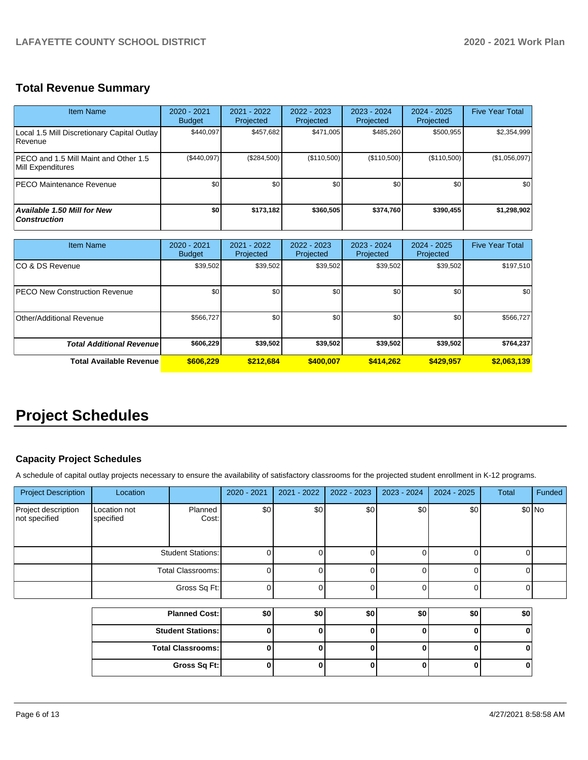## **Total Revenue Summary**

| <b>Item Name</b>                                              | $2020 - 2021$<br><b>Budget</b> | $2021 - 2022$<br>Projected | $2022 - 2023$<br><b>Projected</b> | $2023 - 2024$<br>Projected | $2024 - 2025$<br>Projected | <b>Five Year Total</b> |
|---------------------------------------------------------------|--------------------------------|----------------------------|-----------------------------------|----------------------------|----------------------------|------------------------|
| Local 1.5 Mill Discretionary Capital Outlay<br><b>Revenue</b> | \$440.097                      | \$457,682                  | \$471.005                         | \$485,260                  | \$500,955                  | \$2,354,999            |
| IPECO and 1.5 Mill Maint and Other 1.5<br>Mill Expenditures   | (\$440,097)                    | (\$284,500)                | (\$110,500)                       | (\$110,500)                | (\$110,500)                | (\$1,056,097)          |
| IPECO Maintenance Revenue                                     | \$0                            | \$0                        | \$0                               | \$0                        | \$0                        | \$0                    |
| <b>Available 1.50 Mill for New</b><br><b>Construction</b>     | \$O                            | \$173,182                  | \$360,505                         | \$374,760                  | \$390,455                  | \$1,298,902            |

| <b>Item Name</b>                      | 2020 - 2021<br><b>Budget</b> | $2021 - 2022$<br>Projected | 2022 - 2023<br>Projected | 2023 - 2024<br>Projected | 2024 - 2025<br>Projected | <b>Five Year Total</b> |
|---------------------------------------|------------------------------|----------------------------|--------------------------|--------------------------|--------------------------|------------------------|
| ICO & DS Revenue                      | \$39,502                     | \$39,502                   | \$39,502                 | \$39,502                 | \$39,502                 | \$197,510              |
| <b>IPECO New Construction Revenue</b> | \$0                          | \$0                        | \$0                      | \$0                      | \$0                      | \$0                    |
| Other/Additional Revenue              | \$566,727                    | \$0                        | \$0                      | \$0 <sub>0</sub>         | \$0                      | \$566,727              |
| <b>Total Additional Revenuel</b>      | \$606,229                    | \$39,502                   | \$39,502                 | \$39,502                 | \$39.502                 | \$764,237              |
| <b>Total Available Revenue</b>        | \$606.229                    | \$212,684                  | \$400,007                | \$414.262                | \$429.957                | \$2,063,139            |

## **Project Schedules**

### **Capacity Project Schedules**

A schedule of capital outlay projects necessary to ensure the availability of satisfactory classrooms for the projected student enrollment in K-12 programs.

| <b>Project Description</b>           | Location                  |                          | 2020 - 2021 | 2021 - 2022 | $2022 - 2023$ | $2023 - 2024$ | $2024 - 2025$ | <b>Total</b> | Funded  |
|--------------------------------------|---------------------------|--------------------------|-------------|-------------|---------------|---------------|---------------|--------------|---------|
| Project description<br>not specified | Location not<br>specified | Planned<br>Cost:         | \$0         | \$0         | \$0           | \$0           | \$0           |              | $$0$ No |
|                                      |                           | <b>Student Stations:</b> |             |             |               |               |               |              |         |
|                                      |                           | Total Classrooms:        |             |             |               |               | 0             |              |         |
|                                      |                           | Gross Sq Ft:             |             |             |               |               | 0             |              |         |
|                                      |                           | Discover Control         | $\sim$      | en l        | $\sim$        | en l          | en l          | n n l        |         |

| <b>Planned Cost:</b>     | \$0 | \$0 | \$0 | \$0 | ا SO |
|--------------------------|-----|-----|-----|-----|------|
| <b>Student Stations:</b> |     |     |     |     |      |
| <b>Total Classrooms:</b> |     |     |     |     |      |
| Gross Sq Ft:             |     |     |     |     |      |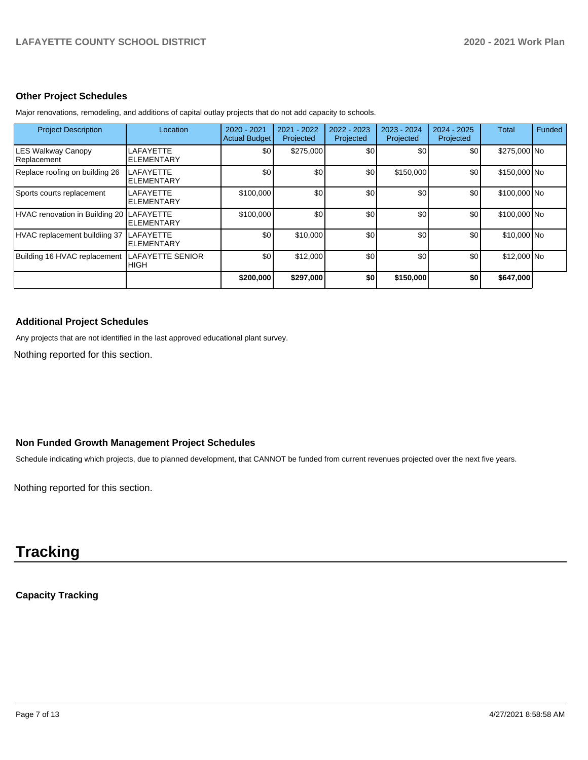#### **Other Project Schedules**

| <b>Project Description</b>               | Location                               | 2020 - 2021<br><b>Actual Budget</b> | 2021 - 2022<br>Projected | 2022 - 2023<br>Projected | 2023 - 2024<br>Projected | $2024 - 2025$<br>Projected | Total        | Funded |
|------------------------------------------|----------------------------------------|-------------------------------------|--------------------------|--------------------------|--------------------------|----------------------------|--------------|--------|
| <b>LES Walkway Canopy</b><br>Replacement | LAFAYETTE<br><b>ELEMENTARY</b>         | \$0                                 | \$275,000                | \$0                      | \$0                      | \$0                        | \$275,000 No |        |
| Replace roofing on building 26           | <b>LAFAYETTE</b><br><b>ELEMENTARY</b>  | \$0                                 | \$0                      | \$0                      | \$150,000                | \$0                        | \$150,000 No |        |
| Sports courts replacement                | LAFAYETTE<br><b>ELEMENTARY</b>         | \$100,000                           | \$0                      | \$0                      | \$0                      | \$0                        | \$100,000 No |        |
| HVAC renovation in Building 20 LAFAYETTE | <b>ELEMENTARY</b>                      | \$100,000                           | \$0                      | \$0                      | \$0                      | \$0                        | \$100,000 No |        |
| HVAC replacement buildiing 37            | LAFAYETTE<br><b>ELEMENTARY</b>         | \$0                                 | \$10,000                 | \$0                      | \$0                      | \$0                        | \$10,000 No  |        |
| Building 16 HVAC replacement             | <b>LAFAYETTE SENIOR</b><br><b>HIGH</b> | \$0                                 | \$12,000                 | \$0                      | \$0                      | \$0                        | \$12,000 No  |        |
|                                          |                                        | \$200,000                           | \$297,000                | \$0                      | \$150,000                | \$0                        | \$647,000    |        |

Major renovations, remodeling, and additions of capital outlay projects that do not add capacity to schools.

### **Additional Project Schedules**

Any projects that are not identified in the last approved educational plant survey.

Nothing reported for this section.

### **Non Funded Growth Management Project Schedules**

Schedule indicating which projects, due to planned development, that CANNOT be funded from current revenues projected over the next five years.

Nothing reported for this section.

# **Tracking**

**Capacity Tracking**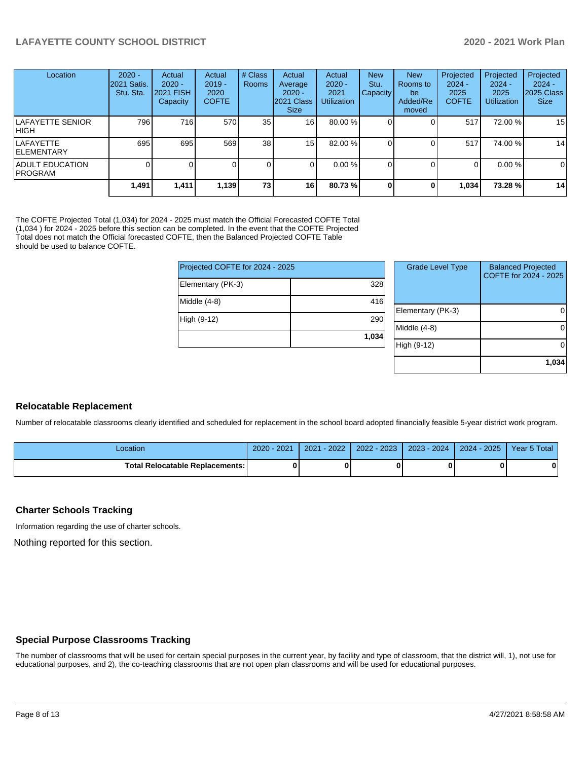| Location                               | $2020 -$<br>2021 Satis.<br>Stu. Sta. | Actual<br>$2020 -$<br>2021 FISH<br>Capacity | Actual<br>$2019 -$<br>2020<br><b>COFTE</b> | # Class<br>Rooms | Actual<br>Average<br>$2020 -$<br>2021 Class<br><b>Size</b> | Actual<br>$2020 -$<br>2021<br><b>Utilization</b> | <b>New</b><br>Stu.<br><b>Capacity</b> | <b>New</b><br>Rooms to<br>be<br>Added/Re<br>moved | Projected<br>$2024 -$<br>2025<br><b>COFTE</b> | Projected<br>$2024 -$<br>2025<br><b>Utilization</b> | Projected<br>$2024 -$<br>2025 Class<br><b>Size</b> |
|----------------------------------------|--------------------------------------|---------------------------------------------|--------------------------------------------|------------------|------------------------------------------------------------|--------------------------------------------------|---------------------------------------|---------------------------------------------------|-----------------------------------------------|-----------------------------------------------------|----------------------------------------------------|
| <b>LAFAYETTE SENIOR</b><br>IHIGH.      | 796 I                                | 716                                         | 570                                        | 35 <sub>l</sub>  | 16 <sup>1</sup>                                            | 80.00 %                                          |                                       |                                                   | 517                                           | 72.00 %                                             | 15                                                 |
| <b>LAFAYETTE</b><br><b>IELEMENTARY</b> | 695                                  | 695                                         | 569                                        | 38               | 15 <sub>l</sub>                                            | 82.00 %                                          |                                       |                                                   | 517                                           | 74.00 %                                             | 14                                                 |
| ADULT EDUCATION<br><b>IPROGRAM</b>     |                                      |                                             |                                            |                  | $\Omega$                                                   | 0.00%                                            |                                       |                                                   | $\Omega$                                      | 0.00%                                               | 0                                                  |
|                                        | 1,491                                | 1,411                                       | 1,139                                      | 73               | <b>16</b>                                                  | 80.73%                                           |                                       |                                                   | 1,034                                         | 73.28%                                              | 14                                                 |

The COFTE Projected Total (1,034) for 2024 - 2025 must match the Official Forecasted COFTE Total (1,034 ) for 2024 - 2025 before this section can be completed. In the event that the COFTE Projected Total does not match the Official forecasted COFTE, then the Balanced Projected COFTE Table should be used to balance COFTE.

| <b>Grade Level Type</b> | <b>Balanced Projected</b><br>COFTE for 2024 - 2025 |
|-------------------------|----------------------------------------------------|
|                         |                                                    |
|                         |                                                    |
|                         | 0                                                  |
|                         |                                                    |
| Middle (4-8)            | $\Omega$                                           |
|                         |                                                    |
| High (9-12)             | $\Omega$                                           |
|                         |                                                    |
|                         | 1,034                                              |
|                         | Elementary (PK-3)                                  |

#### **Relocatable Replacement**

Number of relocatable classrooms clearly identified and scheduled for replacement in the school board adopted financially feasible 5-year district work program.

| .ocation                               | 2021<br>2020 | 2022<br>2021 | $-2023$<br>$2022 - 1$ | $2023 - 2024$ | 2025<br>2024 | Year 5 Total |
|----------------------------------------|--------------|--------------|-----------------------|---------------|--------------|--------------|
| <b>Total Relocatable Replacements:</b> |              |              |                       |               |              |              |

#### **Charter Schools Tracking**

Information regarding the use of charter schools.

Nothing reported for this section.

#### **Special Purpose Classrooms Tracking**

The number of classrooms that will be used for certain special purposes in the current year, by facility and type of classroom, that the district will, 1), not use for educational purposes, and 2), the co-teaching classrooms that are not open plan classrooms and will be used for educational purposes.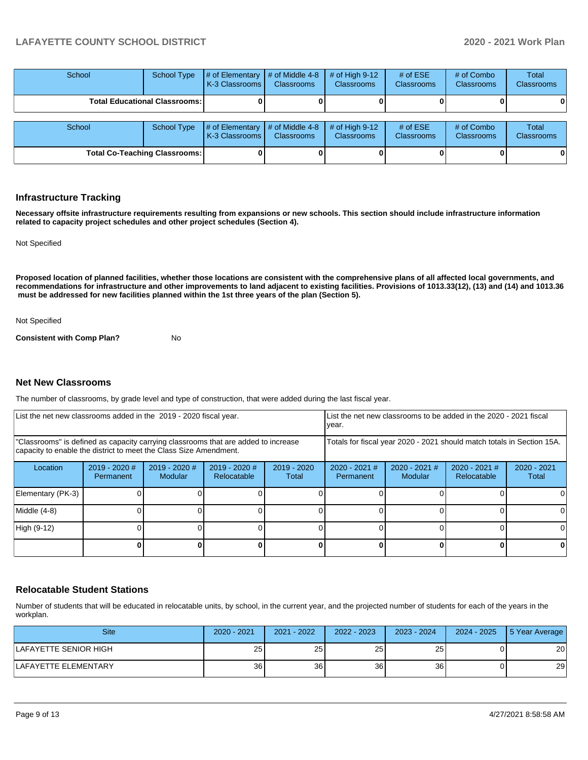| School                               | <b>School Type</b>                     | # of Elementary<br><b>K-3 Classrooms</b>                       | $\#$ of Middle 4-8<br><b>Classrooms</b> | # of High $9-12$<br><b>Classrooms</b> | # of $ESE$<br><b>Classrooms</b> | # of Combo<br><b>Classrooms</b> | Total<br><b>Classrooms</b> |
|--------------------------------------|----------------------------------------|----------------------------------------------------------------|-----------------------------------------|---------------------------------------|---------------------------------|---------------------------------|----------------------------|
|                                      | <b>Total Educational Classrooms: I</b> |                                                                |                                         |                                       |                                 |                                 | 0                          |
| School                               | School Type                            | $\#$ of Elementary $\#$ of Middle 4-8<br><b>K-3 Classrooms</b> | <b>Classrooms</b>                       | $#$ of High 9-12<br><b>Classrooms</b> | # of $ESE$<br><b>Classrooms</b> | # of Combo<br><b>Classrooms</b> | Total<br>Classrooms        |
| <b>Total Co-Teaching Classrooms:</b> |                                        |                                                                |                                         |                                       |                                 |                                 | 0                          |

#### **Infrastructure Tracking**

**Necessary offsite infrastructure requirements resulting from expansions or new schools. This section should include infrastructure information related to capacity project schedules and other project schedules (Section 4).** 

Not Specified

**Proposed location of planned facilities, whether those locations are consistent with the comprehensive plans of all affected local governments, and recommendations for infrastructure and other improvements to land adjacent to existing facilities. Provisions of 1013.33(12), (13) and (14) and 1013.36 must be addressed for new facilities planned within the 1st three years of the plan (Section 5).** 

Not Specified

**Consistent with Comp Plan?** No

#### **Net New Classrooms**

The number of classrooms, by grade level and type of construction, that were added during the last fiscal year.

| List the net new classrooms added in the 2019 - 2020 fiscal year.                                                                                       | List the net new classrooms to be added in the 2020 - 2021 fiscal<br>year. |                            |                                |                        |                                                                        |                            |                                |                        |
|---------------------------------------------------------------------------------------------------------------------------------------------------------|----------------------------------------------------------------------------|----------------------------|--------------------------------|------------------------|------------------------------------------------------------------------|----------------------------|--------------------------------|------------------------|
| "Classrooms" is defined as capacity carrying classrooms that are added to increase<br>capacity to enable the district to meet the Class Size Amendment. |                                                                            |                            |                                |                        | Totals for fiscal year 2020 - 2021 should match totals in Section 15A. |                            |                                |                        |
| Location                                                                                                                                                | $2019 - 2020$ #<br>Permanent                                               | $2019 - 2020$ #<br>Modular | $2019 - 2020$ #<br>Relocatable | $2019 - 2020$<br>Total | $2020 - 2021$ #<br>Permanent                                           | $2020 - 2021$ #<br>Modular | $2020 - 2021$ #<br>Relocatable | $2020 - 2021$<br>Total |
| Elementary (PK-3)                                                                                                                                       |                                                                            |                            |                                |                        |                                                                        |                            |                                |                        |
| Middle (4-8)                                                                                                                                            |                                                                            |                            |                                |                        |                                                                        |                            |                                | ΩI                     |
| High (9-12)                                                                                                                                             |                                                                            |                            |                                |                        |                                                                        |                            |                                |                        |
|                                                                                                                                                         |                                                                            |                            |                                |                        |                                                                        |                            | 0                              | 0                      |

#### **Relocatable Student Stations**

Number of students that will be educated in relocatable units, by school, in the current year, and the projected number of students for each of the years in the workplan.

| <b>Site</b>           | $2020 - 2021$   | 2021 - 2022     | $2022 - 2023$   | $2023 - 2024$   | $2024 - 2025$ | 5 Year Average |
|-----------------------|-----------------|-----------------|-----------------|-----------------|---------------|----------------|
| LAFAYETTE SENIOR HIGH | 25 <sup>1</sup> | 25 <sub>1</sub> | 25 <sub>l</sub> | 25              |               | 20             |
| LAFAYETTE ELEMENTARY  | 36 <sup>1</sup> | 36              | 36 <sub>l</sub> | 36 <sub>1</sub> |               | 29             |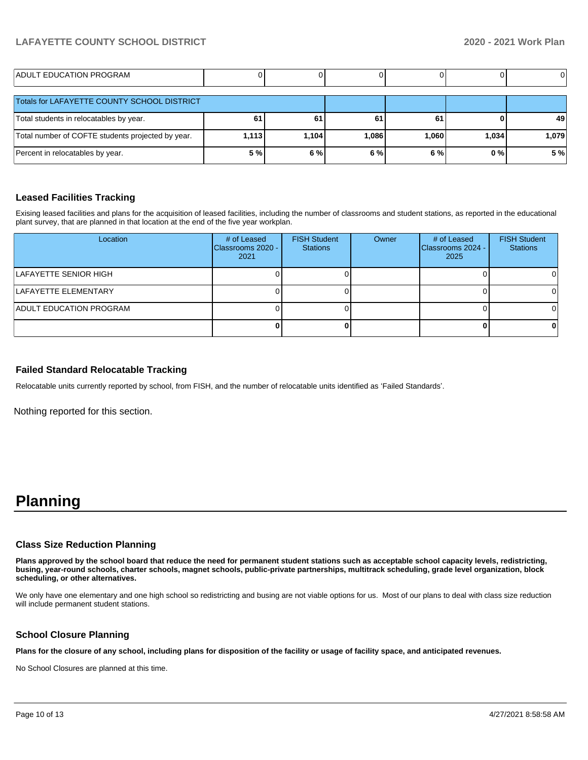| ADULT EDUCATION PROGRAM                           |       |       |       |       |       |       |
|---------------------------------------------------|-------|-------|-------|-------|-------|-------|
| Totals for LAFAYETTE COUNTY SCHOOL DISTRICT       |       |       |       |       |       |       |
| Total students in relocatables by year.           | 61    | 61    | 61    | 61    |       | 49    |
| Total number of COFTE students projected by year. | 1,113 | 1,104 | 1,086 | 1,060 | 1,034 | 1,079 |
| Percent in relocatables by year.                  | 5 %   | 6 %   | 6 %   | 6 %   | 0%    | 5%    |

#### **Leased Facilities Tracking**

Exising leased facilities and plans for the acquisition of leased facilities, including the number of classrooms and student stations, as reported in the educational plant survey, that are planned in that location at the end of the five year workplan.

| Location                       | # of Leased<br>Classrooms 2020 -<br>2021 | <b>FISH Student</b><br><b>Stations</b> | Owner | # of Leased<br>Classrooms 2024 -<br>2025 | <b>FISH Student</b><br><b>Stations</b> |
|--------------------------------|------------------------------------------|----------------------------------------|-------|------------------------------------------|----------------------------------------|
| LAFAYETTE SENIOR HIGH          |                                          |                                        |       |                                          |                                        |
| ILAFAYETTE ELEMENTARY          |                                          |                                        |       |                                          | $\Omega$                               |
| <b>ADULT EDUCATION PROGRAM</b> |                                          |                                        |       |                                          | ΩI                                     |
|                                |                                          |                                        |       |                                          |                                        |

#### **Failed Standard Relocatable Tracking**

Relocatable units currently reported by school, from FISH, and the number of relocatable units identified as 'Failed Standards'.

Nothing reported for this section.

## **Planning**

#### **Class Size Reduction Planning**

**Plans approved by the school board that reduce the need for permanent student stations such as acceptable school capacity levels, redistricting, busing, year-round schools, charter schools, magnet schools, public-private partnerships, multitrack scheduling, grade level organization, block scheduling, or other alternatives.**

We only have one elementary and one high school so redistricting and busing are not viable options for us. Most of our plans to deal with class size reduction will include permanent student stations.

#### **School Closure Planning**

**Plans for the closure of any school, including plans for disposition of the facility or usage of facility space, and anticipated revenues.** 

No School Closures are planned at this time.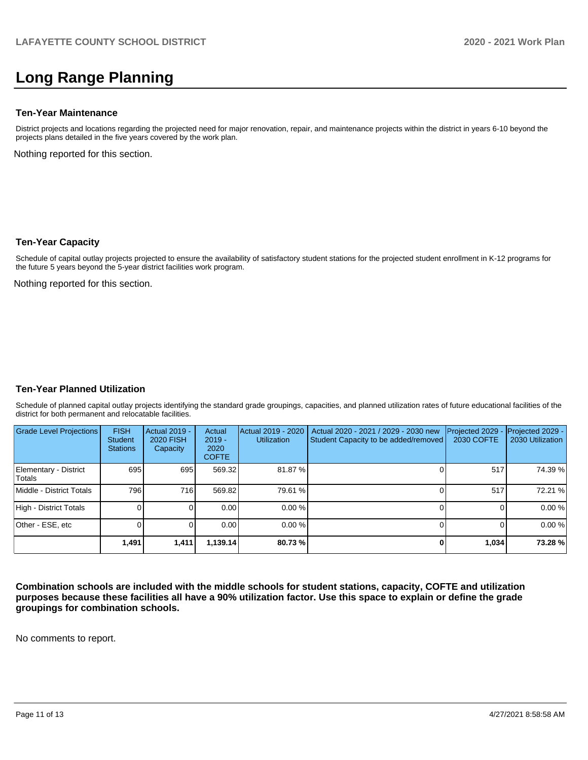## **Long Range Planning**

#### **Ten-Year Maintenance**

District projects and locations regarding the projected need for major renovation, repair, and maintenance projects within the district in years 6-10 beyond the projects plans detailed in the five years covered by the work plan.

Nothing reported for this section.

#### **Ten-Year Capacity**

Schedule of capital outlay projects projected to ensure the availability of satisfactory student stations for the projected student enrollment in K-12 programs for the future 5 years beyond the 5-year district facilities work program.

Nothing reported for this section.

#### **Ten-Year Planned Utilization**

Schedule of planned capital outlay projects identifying the standard grade groupings, capacities, and planned utilization rates of future educational facilities of the district for both permanent and relocatable facilities.

| <b>Grade Level Projections</b>   | <b>FISH</b><br><b>Student</b><br><b>Stations</b> | <b>Actual 2019 -</b><br><b>2020 FISH</b><br>Capacity | Actual<br>$2019 -$<br>2020<br><b>COFTE</b> | Actual 2019 - 2020<br><b>Utilization</b> | Actual 2020 - 2021 / 2029 - 2030 new<br>Student Capacity to be added/removed | Projected 2029<br><b>2030 COFTE</b> | Projected 2029 -<br>2030 Utilization |
|----------------------------------|--------------------------------------------------|------------------------------------------------------|--------------------------------------------|------------------------------------------|------------------------------------------------------------------------------|-------------------------------------|--------------------------------------|
| Elementary - District<br>lTotals | 695                                              | 695                                                  | 569.32                                     | 81.87%                                   |                                                                              | 517                                 | 74.39 %                              |
| Middle - District Totals         | 796                                              | 716                                                  | 569.82                                     | 79.61 %                                  |                                                                              | 517                                 | 72.21 %                              |
| High - District Totals           |                                                  |                                                      | 0.00                                       | 0.00%                                    |                                                                              |                                     | 0.00%                                |
| Other - ESE, etc                 |                                                  |                                                      | 0.00                                       | 0.00%                                    |                                                                              |                                     | 0.00%                                |
|                                  | 1,491                                            | 1,411                                                | 1,139.14                                   | 80.73%                                   |                                                                              | 1,034                               | 73.28%                               |

**Combination schools are included with the middle schools for student stations, capacity, COFTE and utilization purposes because these facilities all have a 90% utilization factor. Use this space to explain or define the grade groupings for combination schools.** 

No comments to report.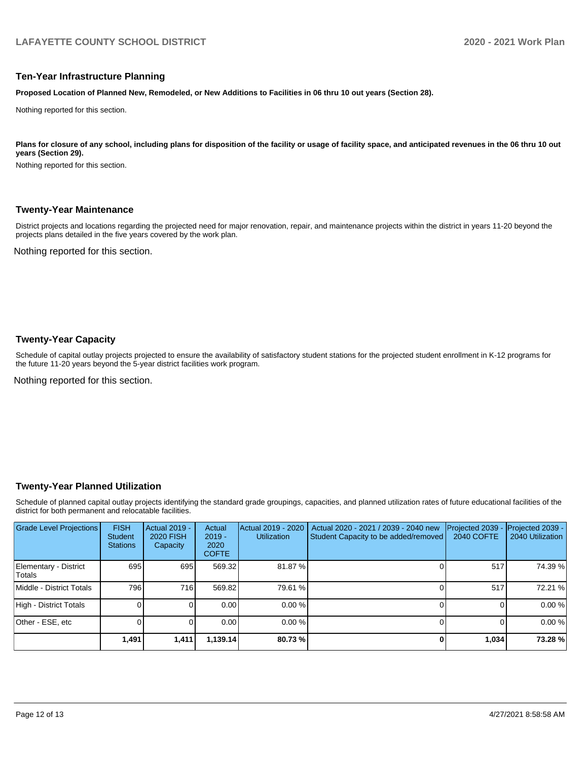#### **Ten-Year Infrastructure Planning**

**Proposed Location of Planned New, Remodeled, or New Additions to Facilities in 06 thru 10 out years (Section 28).**

Nothing reported for this section.

#### Plans for closure of any school, including plans for disposition of the facility or usage of facility space, and anticipated revenues in the 06 thru 10 out **years (Section 29).**

Nothing reported for this section.

#### **Twenty-Year Maintenance**

District projects and locations regarding the projected need for major renovation, repair, and maintenance projects within the district in years 11-20 beyond the projects plans detailed in the five years covered by the work plan.

Nothing reported for this section.

#### **Twenty-Year Capacity**

Schedule of capital outlay projects projected to ensure the availability of satisfactory student stations for the projected student enrollment in K-12 programs for the future 11-20 years beyond the 5-year district facilities work program.

Nothing reported for this section.

#### **Twenty-Year Planned Utilization**

Schedule of planned capital outlay projects identifying the standard grade groupings, capacities, and planned utilization rates of future educational facilities of the district for both permanent and relocatable facilities.

| <b>Grade Level Projections</b>   | <b>FISH</b><br><b>Student</b><br><b>Stations</b> | <b>Actual 2019 -</b><br>2020 FISH<br>Capacity | Actual<br>$2019 -$<br>2020<br><b>COFTE</b> | Actual 2019 - 2020<br><b>Utilization</b> | Actual 2020 - 2021 / 2039 - 2040 new<br>Student Capacity to be added/removed | Projected 2039<br>2040 COFTE | Projected 2039 -<br>2040 Utilization |
|----------------------------------|--------------------------------------------------|-----------------------------------------------|--------------------------------------------|------------------------------------------|------------------------------------------------------------------------------|------------------------------|--------------------------------------|
| Elementary - District<br> Totals | 695                                              | 695                                           | 569.32                                     | 81.87 %                                  |                                                                              | 517                          | 74.39 %                              |
| Middle - District Totals         | 796                                              | 716 <b>I</b>                                  | 569.82                                     | 79.61 %                                  |                                                                              | 517                          | 72.21 %                              |
| High - District Totals           |                                                  |                                               | 0.00                                       | 0.00%                                    |                                                                              |                              | 0.00%                                |
| Other - ESE, etc                 |                                                  |                                               | 0.00                                       | 0.00%                                    |                                                                              |                              | 0.00%                                |
|                                  | 1,491                                            | 1,411                                         | 1,139.14                                   | 80.73%                                   |                                                                              | 1,034                        | 73.28 %                              |